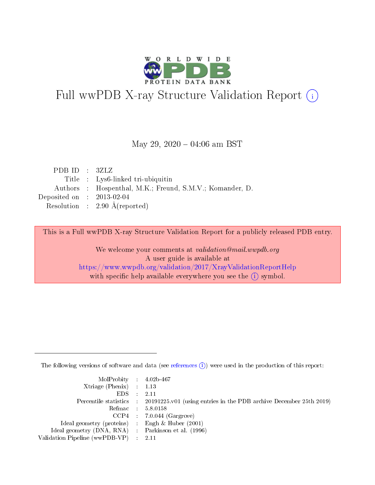

# Full wwPDB X-ray Structure Validation Report (i)

### May 29,  $2020 - 04:06$  am BST

| PDBID : 3ZLZ                |                                                          |
|-----------------------------|----------------------------------------------------------|
|                             | Title : Lys6-linked tri-ubiquitin                        |
|                             | Authors : Hospenthal, M.K.; Freund, S.M.V.; Komander, D. |
| Deposited on : $2013-02-04$ |                                                          |
|                             | Resolution : $2.90 \text{ Å}$ (reported)                 |

This is a Full wwPDB X-ray Structure Validation Report for a publicly released PDB entry.

We welcome your comments at validation@mail.wwpdb.org A user guide is available at <https://www.wwpdb.org/validation/2017/XrayValidationReportHelp> with specific help available everywhere you see the  $(i)$  symbol.

The following versions of software and data (see [references](https://www.wwpdb.org/validation/2017/XrayValidationReportHelp#references)  $(i)$ ) were used in the production of this report:

| MolProbity : $4.02b-467$                            |                                                                                            |
|-----------------------------------------------------|--------------------------------------------------------------------------------------------|
| Xtriage (Phenix) $: 1.13$                           |                                                                                            |
| EDS -                                               | 2.11                                                                                       |
|                                                     | Percentile statistics : 20191225.v01 (using entries in the PDB archive December 25th 2019) |
|                                                     | Refmac 58.0158                                                                             |
|                                                     | $CCP4$ 7.0.044 (Gargrove)                                                                  |
| Ideal geometry (proteins) : Engh $\&$ Huber (2001)  |                                                                                            |
| Ideal geometry (DNA, RNA) : Parkinson et al. (1996) |                                                                                            |
| Validation Pipeline (wwPDB-VP)                      | -2.11                                                                                      |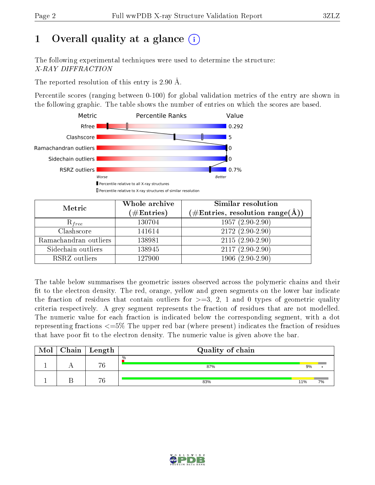# 1 [O](https://www.wwpdb.org/validation/2017/XrayValidationReportHelp#overall_quality)verall quality at a glance  $(i)$

The following experimental techniques were used to determine the structure: X-RAY DIFFRACTION

The reported resolution of this entry is 2.90 Å.

Percentile scores (ranging between 0-100) for global validation metrics of the entry are shown in the following graphic. The table shows the number of entries on which the scores are based.



| Metric                | Whole archive<br>$(\#\text{Entries})$ | Similar resolution<br>$(\#\text{Entries},\,\text{resolution}\,\,\text{range}(\textup{\AA}))$ |
|-----------------------|---------------------------------------|----------------------------------------------------------------------------------------------|
| $R_{free}$            | 130704                                | $1957(2.90-2.90)$                                                                            |
| Clashscore            | 141614                                | $2172(2.90-2.90)$                                                                            |
| Ramachandran outliers | 138981                                | $2115(2.90-2.90)$                                                                            |
| Sidechain outliers    | 138945                                | $2117(2.90-2.90)$                                                                            |
| RSRZ outliers         | 127900                                | $1906(2.90-2.90)$                                                                            |

The table below summarises the geometric issues observed across the polymeric chains and their fit to the electron density. The red, orange, yellow and green segments on the lower bar indicate the fraction of residues that contain outliers for  $>=3, 2, 1$  and 0 types of geometric quality criteria respectively. A grey segment represents the fraction of residues that are not modelled. The numeric value for each fraction is indicated below the corresponding segment, with a dot representing fractions  $\epsilon=5\%$  The upper red bar (where present) indicates the fraction of residues that have poor fit to the electron density. The numeric value is given above the bar.

| Mol | $Chain$ Length | Quality of chain |     |    |
|-----|----------------|------------------|-----|----|
|     | 76             | $\%$<br>87%      | 9%  |    |
|     | 76             | 83%              | 11% | 7% |

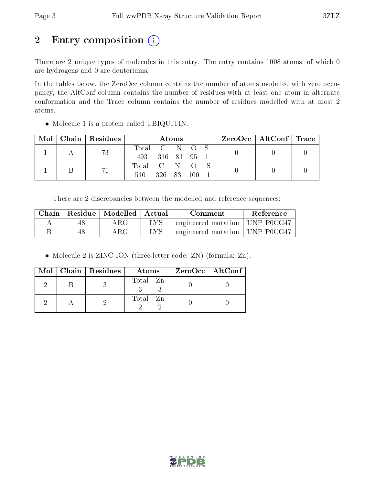# 2 Entry composition (i)

There are 2 unique types of molecules in this entry. The entry contains 1008 atoms, of which 0 are hydrogens and 0 are deuteriums.

In the tables below, the ZeroOcc column contains the number of atoms modelled with zero occupancy, the AltConf column contains the number of residues with at least one atom in alternate conformation and the Trace column contains the number of residues modelled with at most 2 atoms.

|  | Mol   Chain   Residues | Atoms         |                 |  |  |  | $\text{ZeroOcc} \mid \text{AltConf} \mid \text{Trace}$ |  |
|--|------------------------|---------------|-----------------|--|--|--|--------------------------------------------------------|--|
|  | 73                     | Total C N O S |                 |  |  |  |                                                        |  |
|  |                        |               | 493 316 81 95 1 |  |  |  |                                                        |  |
|  |                        | Total C N O S |                 |  |  |  |                                                        |  |
|  |                        | 510           | 326 83 100      |  |  |  |                                                        |  |

Molecule 1 is a protein called UBIQUITIN.

There are 2 discrepancies between the modelled and reference sequences:

| Chain | Residue   Modelled | $^{\shortmid}$ Actual | Comment                          | Reference |
|-------|--------------------|-----------------------|----------------------------------|-----------|
|       | $\rm{ARG}$         | LYS                   | engineered mutation   UNP P0CG47 |           |
|       | $\rm{ARG}$         | LYS                   | engineered mutation   UNP P0CG47 |           |

• Molecule 2 is ZINC ION (three-letter code: ZN) (formula: Zn).

|  | $Mol$   Chain   Residues | Atoms    | ZeroOcc   AltConf |
|--|--------------------------|----------|-------------------|
|  |                          | Total Zn |                   |
|  |                          | Total Zn |                   |

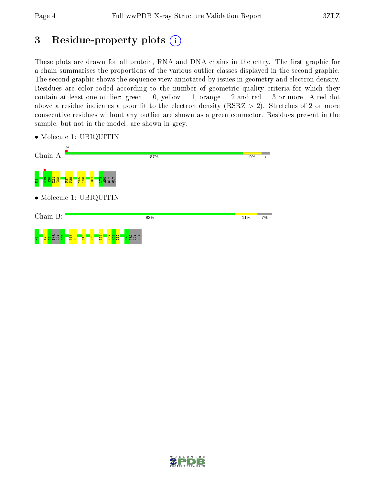# 3 Residue-property plots  $(i)$

These plots are drawn for all protein, RNA and DNA chains in the entry. The first graphic for a chain summarises the proportions of the various outlier classes displayed in the second graphic. The second graphic shows the sequence view annotated by issues in geometry and electron density. Residues are color-coded according to the number of geometric quality criteria for which they contain at least one outlier: green  $= 0$ , yellow  $= 1$ , orange  $= 2$  and red  $= 3$  or more. A red dot above a residue indicates a poor fit to the electron density (RSRZ  $> 2$ ). Stretches of 2 or more consecutive residues without any outlier are shown as a green connector. Residues present in the sample, but not in the model, are shown in grey.



• Molecule 1: UBIQUITIN

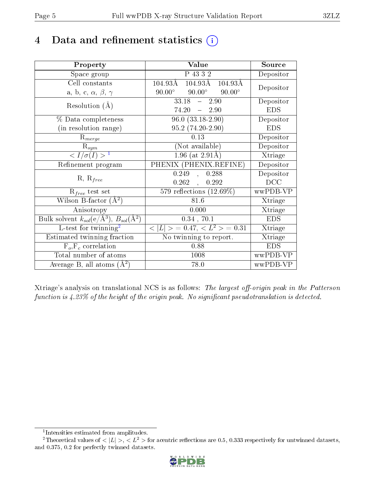# 4 Data and refinement statistics  $(i)$

| Property                                                             | Value                                                          | Source                       |
|----------------------------------------------------------------------|----------------------------------------------------------------|------------------------------|
| Space group                                                          | P 43 3 2                                                       | Depositor                    |
| Cell constants                                                       | $104.93\text{\AA}$<br>$104.93\text{\AA}$<br>$104.93\text{\AA}$ | Depositor                    |
| a, b, c, $\alpha$ , $\beta$ , $\gamma$                               | $90.00^\circ$<br>$90.00^\circ$<br>$90.00^\circ$                |                              |
| Resolution $(A)$                                                     | $33.18 -$<br>2.90                                              | Depositor                    |
|                                                                      | $74.20 = 2.90$                                                 | <b>EDS</b>                   |
| % Data completeness                                                  | $96.0 (33.18-2.90)$                                            | Depositor                    |
| (in resolution range)                                                | 95.2 (74.20-2.90)                                              | <b>EDS</b>                   |
| $R_{merge}$                                                          | 0.13                                                           | Depositor                    |
| $\mathrm{R}_{sym}$                                                   | (Not available)                                                | Depositor                    |
| $\sqrt{I/\sigma}(I) > 1$                                             | $1.96$ (at $2.91$ Å)                                           | Xtriage                      |
| Refinement program                                                   | PHENIX (PHENIX.REFINE)                                         | Depositor                    |
| $R, R_{free}$                                                        | 0.249<br>0.288<br>$\mathcal{L}$                                | Depositor                    |
|                                                                      | $0.262$ ,<br>0.292                                             | DCC                          |
| $R_{free}$ test set                                                  | 579 reflections $(12.69\%)$                                    | wwPDB-VP                     |
| Wilson B-factor $(A^2)$                                              | 81.6                                                           | Xtriage                      |
| Anisotropy                                                           | 0.000                                                          | Xtriage                      |
| Bulk solvent $k_{sol}(e/\mathring{A}^3)$ , $B_{sol}(\mathring{A}^2)$ | $0.34$ , $70.1$                                                | <b>EDS</b>                   |
| L-test for twinning <sup>2</sup>                                     | $< L >$ = 0.47, $< L2$ = 0.31                                  | Xtriage                      |
| Estimated twinning fraction                                          | No twinning to report.                                         | $\overline{\text{X}}$ triage |
| $F_o, F_c$ correlation                                               | 0.88                                                           | <b>EDS</b>                   |
| Total number of atoms                                                | 1008                                                           | wwPDB-VP                     |
| Average B, all atoms $(A^2)$                                         | 78.0                                                           | wwPDB-VP                     |

Xtriage's analysis on translational NCS is as follows: The largest off-origin peak in the Patterson function is  $4.23\%$  of the height of the origin peak. No significant pseudotranslation is detected.

<sup>&</sup>lt;sup>2</sup>Theoretical values of  $\langle |L| \rangle$ ,  $\langle L^2 \rangle$  for acentric reflections are 0.5, 0.333 respectively for untwinned datasets, and 0.375, 0.2 for perfectly twinned datasets.



<span id="page-4-1"></span><span id="page-4-0"></span><sup>1</sup> Intensities estimated from amplitudes.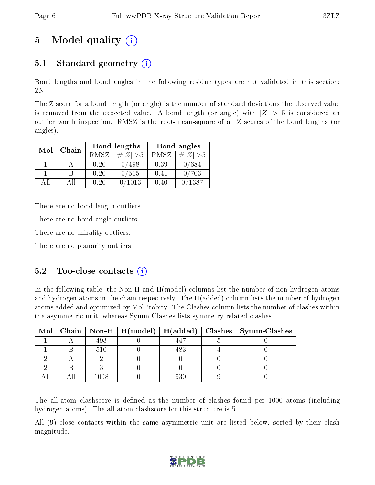# 5 Model quality  $(i)$

# 5.1 Standard geometry  $(i)$

Bond lengths and bond angles in the following residue types are not validated in this section: ZN

The Z score for a bond length (or angle) is the number of standard deviations the observed value is removed from the expected value. A bond length (or angle) with  $|Z| > 5$  is considered an outlier worth inspection. RMSZ is the root-mean-square of all Z scores of the bond lengths (or angles).

| Mol | Chain |             | Bond lengths | Bond angles |             |  |
|-----|-------|-------------|--------------|-------------|-------------|--|
|     |       | <b>RMSZ</b> | $\# Z  > 5$  | RMSZ        | # $ Z  > 5$ |  |
|     |       | 0.20        | 0/498        | 0.39        | 0/684       |  |
|     | R     | 0.20        | 0/515        | 0.41        | 0/703       |  |
| ΑH  | АH    | 0.20        | 1013         | 0.40        | /1387       |  |

There are no bond length outliers.

There are no bond angle outliers.

There are no chirality outliers.

There are no planarity outliers.

### $5.2$  Too-close contacts  $(i)$

In the following table, the Non-H and H(model) columns list the number of non-hydrogen atoms and hydrogen atoms in the chain respectively. The H(added) column lists the number of hydrogen atoms added and optimized by MolProbity. The Clashes column lists the number of clashes within the asymmetric unit, whereas Symm-Clashes lists symmetry related clashes.

|  |      |     | Mol   Chain   Non-H   H(model)   H(added)   Clashes   Symm-Clashes |
|--|------|-----|--------------------------------------------------------------------|
|  | 493  | 447 |                                                                    |
|  | 510  | 483 |                                                                    |
|  |      |     |                                                                    |
|  |      |     |                                                                    |
|  | 1008 | 930 |                                                                    |

The all-atom clashscore is defined as the number of clashes found per 1000 atoms (including hydrogen atoms). The all-atom clashscore for this structure is 5.

All (9) close contacts within the same asymmetric unit are listed below, sorted by their clash magnitude.

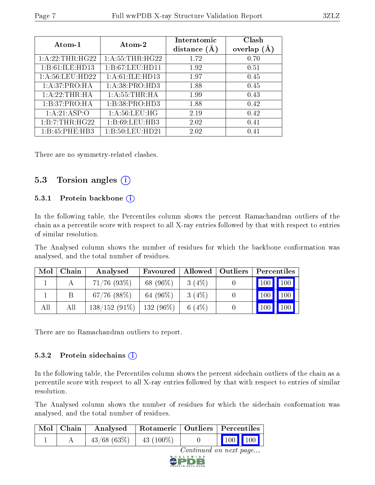| Atom-1           | Atom-2                                             | Interatomic<br>distance $(A)$ | Clash<br>overlap<br>(A) |
|------------------|----------------------------------------------------|-------------------------------|-------------------------|
| 1:A:22:THR:HG22  | $1:\overline{A}:55:\overline{THR}:\overline{H}G22$ | 1.72                          | 0.70                    |
| 1:B:61:ILE:HD13  | 1:B:67:LEU:HDI1                                    | 1.92                          | 0.51                    |
| 1: A:56:LEU:HD22 | 1: A:61: ILE: HD13                                 | 1.97                          | 0.45                    |
| 1:A:37:PRO:HA    | 1: A:38: PRO:HD3                                   | 1.88                          | 0.45                    |
| 1:A:22:THR:HA    | 1: A: 55: THEN: HA                                 | 1.99                          | 0.43                    |
| 1:B:37:PRO:HA    | 1:B:38:PRO:HD3                                     | 1.88                          | 0.42                    |
| 1:A:21:ASP:O     | 1: A:56:LEU:HG                                     | 2.19                          | 0.42                    |
| 1:B:7:THR:HG22   | 1:B:69:LEU:HB3                                     | 2.02                          | 0.41                    |
| 1:B:45:PHE:HB3   | 1:B:50:LEU:HD21                                    | 2.02                          | 0.41                    |

There are no symmetry-related clashes.

### 5.3 Torsion angles  $(i)$

#### 5.3.1 Protein backbone (i)

In the following table, the Percentiles column shows the percent Ramachandran outliers of the chain as a percentile score with respect to all X-ray entries followed by that with respect to entries of similar resolution.

The Analysed column shows the number of residues for which the backbone conformation was analysed, and the total number of residues.

| Mol | Chain | Analysed         | Favoured    |          | Allowed   Outliers | Percentiles                 |     |
|-----|-------|------------------|-------------|----------|--------------------|-----------------------------|-----|
|     |       | $71/76$ (93\%)   | 68 (96\%)   | 3(4%)    |                    | $\boxed{100}$ $\boxed{100}$ |     |
|     |       | $67/76$ $(88\%)$ | 64 $(96\%)$ | $3(4\%)$ |                    | 100                         | 100 |
| All | All   | $138/152(91\%)$  | $132(96\%)$ | 6 $(4%)$ |                    | 100                         | 100 |

There are no Ramachandran outliers to report.

#### 5.3.2 Protein sidechains  $(i)$

In the following table, the Percentiles column shows the percent sidechain outliers of the chain as a percentile score with respect to all X-ray entries followed by that with respect to entries of similar resolution.

The Analysed column shows the number of residues for which the sidechain conformation was analysed, and the total number of residues.

|                        | $Mol$   Chain | Analysed         | Rotameric   Outliers   Percentiles |  |                                     |  |  |  |  |
|------------------------|---------------|------------------|------------------------------------|--|-------------------------------------|--|--|--|--|
|                        |               | $43/68$ $(63\%)$ | $43(100\%)$                        |  | $\frac{100}{100}$ $\frac{100}{100}$ |  |  |  |  |
| Continued on next page |               |                  |                                    |  |                                     |  |  |  |  |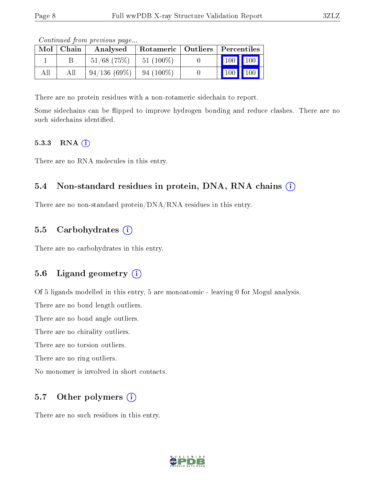|     | $Mol$   Chain | contentava pront providuo pagoni<br>Analysed | Rotameric   Outliers   Percentiles |                       |  |
|-----|---------------|----------------------------------------------|------------------------------------|-----------------------|--|
|     |               | $51/68$ (75%)                                | $51(100\%)$                        | 100 100               |  |
| All | All           | 94/136(69%)                                  | $94(100\%)$                        | $\mid$ 100 $\mid$ 100 |  |

Continued from previous page...

There are no protein residues with a non-rotameric sidechain to report.

Some sidechains can be flipped to improve hydrogen bonding and reduce clashes. There are no such sidechains identified.

#### 5.3.3 RNA [O](https://www.wwpdb.org/validation/2017/XrayValidationReportHelp#rna)i

There are no RNA molecules in this entry.

### 5.4 Non-standard residues in protein, DNA, RNA chains (i)

There are no non-standard protein/DNA/RNA residues in this entry.

### 5.5 Carbohydrates  $(i)$

There are no carbohydrates in this entry.

### 5.6 Ligand geometry  $(i)$

Of 5 ligands modelled in this entry, 5 are monoatomic - leaving 0 for Mogul analysis.

There are no bond length outliers.

There are no bond angle outliers.

There are no chirality outliers.

There are no torsion outliers.

There are no ring outliers.

No monomer is involved in short contacts.

### 5.7 [O](https://www.wwpdb.org/validation/2017/XrayValidationReportHelp#nonstandard_residues_and_ligands)ther polymers  $(i)$

There are no such residues in this entry.

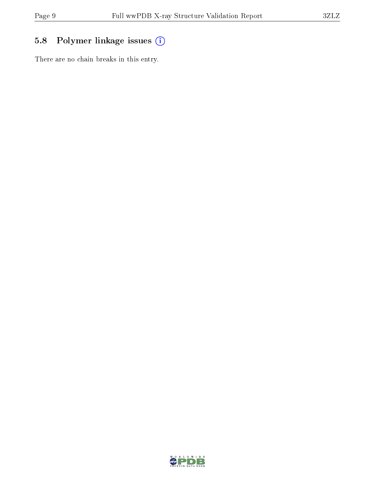# 5.8 Polymer linkage issues (i)

There are no chain breaks in this entry.

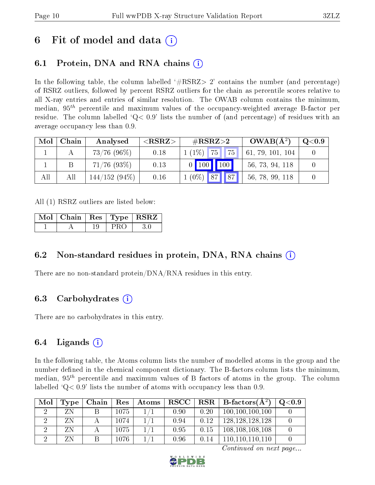# 6 Fit of model and data  $\left( \cdot \right)$

# 6.1 Protein, DNA and RNA chains (i)

In the following table, the column labelled  $#RSRZ>2'$  contains the number (and percentage) of RSRZ outliers, followed by percent RSRZ outliers for the chain as percentile scores relative to all X-ray entries and entries of similar resolution. The OWAB column contains the minimum, median,  $95<sup>th</sup>$  percentile and maximum values of the occupancy-weighted average B-factor per residue. The column labelled  $Q < 0.9$  lists the number of (and percentage) of residues with an average occupancy less than 0.9.

| Mol | Chain | Analysed        | $<$ RSRZ $>$ | $\#\text{RSRZ}{>}2$                           | $OWAB(A^2)$      | $\mathrm{Q}{<}0.9$ |
|-----|-------|-----------------|--------------|-----------------------------------------------|------------------|--------------------|
|     |       | $73/76$ (96%)   | 0.18         | 75 <br>$\parallel$ 75 $\parallel$<br>$1(1\%)$ | 61, 79, 101, 104 |                    |
|     |       | $71/76$ (93%)   | 0.13         | 100<br>$0$ 100                                | 56, 73, 94, 118  |                    |
| All | All   | $144/152(94\%)$ | 0.16         | $\sqrt{87}$<br>$1(0\%)$ 87                    | 56, 78, 99, 118  |                    |

All (1) RSRZ outliers are listed below:

|  |     | $\mid$ Mol $\mid$ Chain $\mid$ Res $\mid$ Type $\mid$ RSRZ $\mid$ |
|--|-----|-------------------------------------------------------------------|
|  | PRO | -30                                                               |

### 6.2 Non-standard residues in protein, DNA, RNA chains (i)

There are no non-standard protein/DNA/RNA residues in this entry.

### 6.3 Carbohydrates (i)

There are no carbohydrates in this entry.

## 6.4 Ligands  $(i)$

In the following table, the Atoms column lists the number of modelled atoms in the group and the number defined in the chemical component dictionary. The B-factors column lists the minimum, median,  $95<sup>th</sup>$  percentile and maximum values of B factors of atoms in the group. The column labelled  $Q< 0.9$ ' lists the number of atoms with occupancy less than 0.9.

| Mol | Type | Chain | $\sim$ Res $^+$ |      |      | $\mid$ Atoms $\mid$ RSCC $\mid$ RSR $\mid$ B-factors( $A^2$ ) | $Q<\!\!0.9$ |
|-----|------|-------|-----------------|------|------|---------------------------------------------------------------|-------------|
|     |      |       | 1075            | 0.90 | 0.20 | 100, 100, 100, 100                                            |             |
|     |      |       | 1074.           | 0.94 | 0.12 | 128, 128, 128, 128                                            |             |
|     |      |       | 1075.           | 0.95 | 0.15 | 108, 108, 108, 108                                            |             |
|     |      |       | 1076.           | 0.96 | 0.14 | 110, 110, 110, 110                                            |             |

Continued on next page...